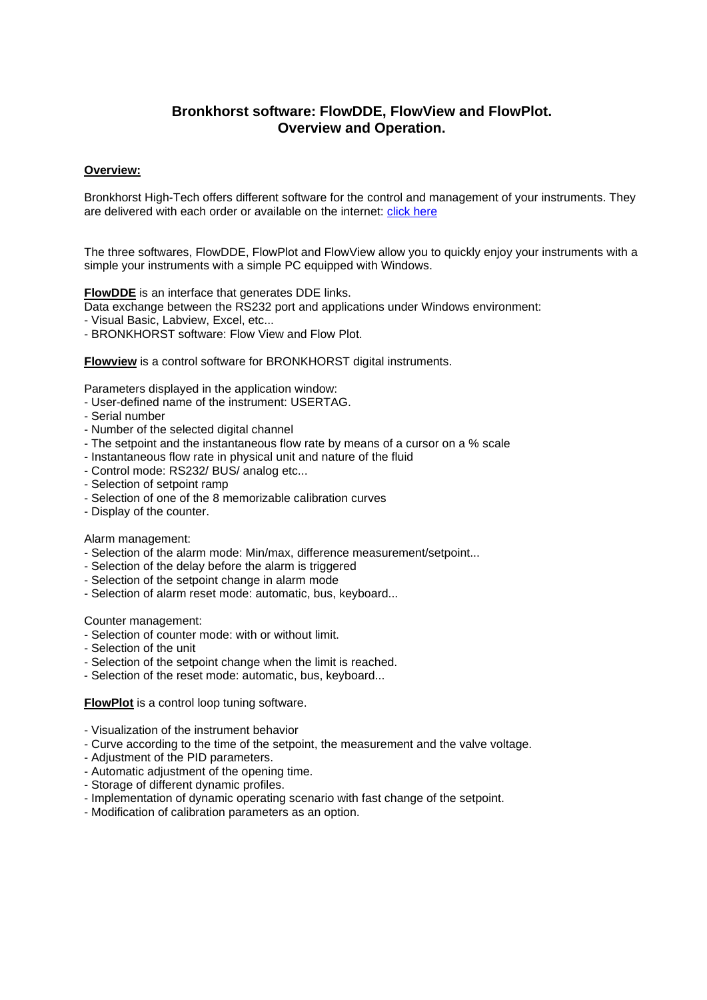# **Bronkhorst software: FlowDDE, FlowView and FlowPlot. Overview and Operation.**

### **Overview:**

Bronkhorst High-Tech offers different software for the control and management of your instruments. They are delivered with each order or available on the internet: [click here](https://www.bronkhorst.com/int/products/accessories-and-software/)

The three softwares, FlowDDE, FlowPlot and FlowView allow you to quickly enjoy your instruments with a simple your instruments with a simple PC equipped with Windows.

**FlowDDE** is an interface that generates DDE links.

- Data exchange between the RS232 port and applications under Windows environment:
- Visual Basic, Labview, Excel, etc...
- BRONKHORST software: Flow View and Flow Plot.

**Flowview** is a control software for BRONKHORST digital instruments.

Parameters displayed in the application window:

- User-defined name of the instrument: USERTAG.
- Serial number
- Number of the selected digital channel
- The setpoint and the instantaneous flow rate by means of a cursor on a % scale
- Instantaneous flow rate in physical unit and nature of the fluid
- Control mode: RS232/ BUS/ analog etc...
- Selection of setpoint ramp
- Selection of one of the 8 memorizable calibration curves
- Display of the counter.

#### Alarm management:

- Selection of the alarm mode: Min/max, difference measurement/setpoint...
- Selection of the delay before the alarm is triggered
- Selection of the setpoint change in alarm mode
- Selection of alarm reset mode: automatic, bus, keyboard...

#### Counter management:

- Selection of counter mode: with or without limit.
- Selection of the unit
- Selection of the setpoint change when the limit is reached.
- Selection of the reset mode: automatic, bus, keyboard...

#### **FlowPlot** is a control loop tuning software.

- Visualization of the instrument behavior
- Curve according to the time of the setpoint, the measurement and the valve voltage.
- Adjustment of the PID parameters.
- Automatic adjustment of the opening time.
- Storage of different dynamic profiles.
- Implementation of dynamic operating scenario with fast change of the setpoint.
- Modification of calibration parameters as an option.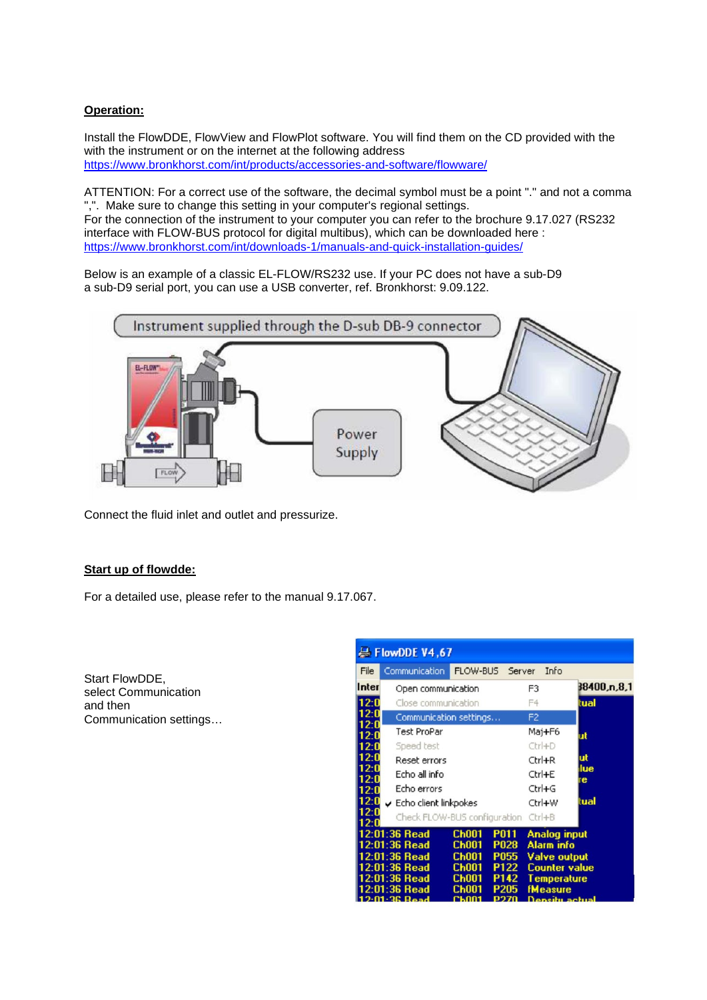## **Operation:**

Install the FlowDDE, FlowView and FlowPlot software. You will find them on the CD provided with the with the instrument or on the internet at the following address <https://www.bronkhorst.com/int/products/accessories-and-software/flowware/>

ATTENTION: For a correct use of the software, the decimal symbol must be a point "." and not a comma ",". Make sure to change this setting in your computer's regional settings. For the connection of the instrument to your computer you can refer to the brochure 9.17.027 (RS232 interface with FLOW-BUS protocol for digital multibus), which can be downloaded here : <https://www.bronkhorst.com/int/downloads-1/manuals-and-quick-installation-guides/>

Below is an example of a classic EL-FLOW/RS232 use. If your PC does not have a sub-D9 a sub-D9 serial port, you can use a USB converter, ref. Bronkhorst: 9.09.122.



Connect the fluid inlet and outlet and pressurize.

### **Start up of flowdde:**

For a detailed use, please refer to the manual 9.17.067.

Start FlowDDE, select Communication and then Communication settings…

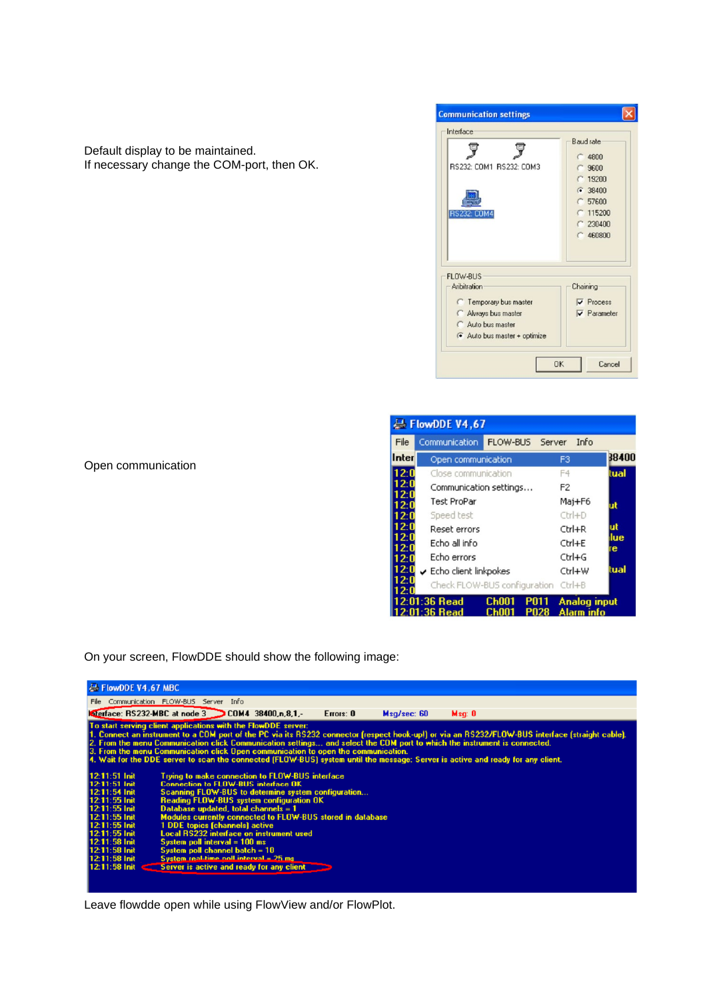

|              | FlowDDE V4,67                       |              |                |                     |          |
|--------------|-------------------------------------|--------------|----------------|---------------------|----------|
| File         | Communication                       | FLOW-BUS     | Server         | Info                |          |
| Inter        | Open communication                  |              |                |                     | 38400    |
| 12:0         | Close communication                 |              |                |                     | tual     |
| 12:0         | Communication settings              |              | F <sub>2</sub> |                     |          |
| 12:0<br>12:0 | <b>Test ProPar</b>                  |              |                | Maj+F6              | ut       |
| 12:0         | Speed test                          |              |                | $CtrI+D$            |          |
| 12 0         | Reset errors                        |              |                | Ctrl+R              | ut       |
| 2:0<br>2:0   | Echo all info                       |              |                | Ctrl+E              | lue<br>e |
| 12:0         | Echo errors                         |              |                | Ctrl+G              |          |
| 2:0          | Echo client linkpokes               |              |                | Ctrl+W              | tual     |
| 2:0<br>2 N   | Check FLOW-BUS configuration Ctrl+B |              |                |                     |          |
|              | 2:01:36 Read                        | <b>Ch001</b> | <b>P011</b>    | <b>Analog input</b> |          |
|              | $2:01:36$ Read                      | Ch001        | P028           | Alarm info          |          |

Open communication

Default display to be maintained.

If necessary change the COM-port, then OK.

On your screen, FlowDDE should show the following image:



Leave flowdde open while using FlowView and/or FlowPlot.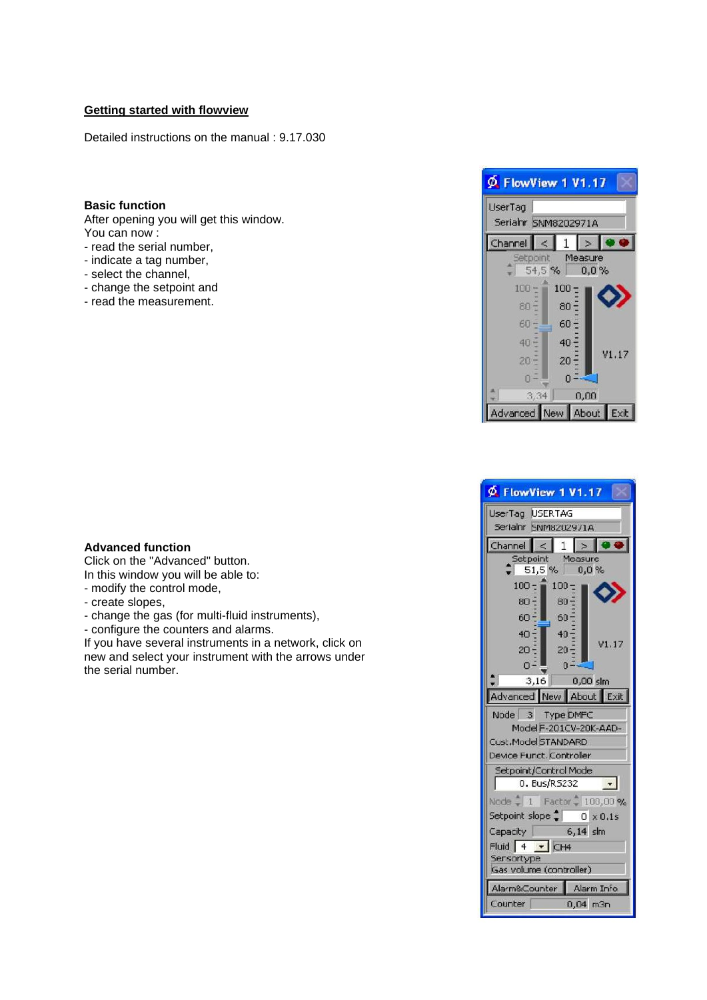### **Getting started with flowview**

Detailed instructions on the manual : 9.17.030

### **Basic function**

After opening you will get this window. You can now :

- read the serial number,
- indicate a tag number,
- select the channel,
- change the setpoint and
- read the measurement.

#### **Advanced function**

Click on the "Advanced" button. In this window you will be able to:

- modify the control mode,
- create slopes,
- change the gas (for multi-fluid instruments),
- configure the counters and alarms.

If you have several instruments in a network, click on new and select your instrument with the arrows under the serial number.



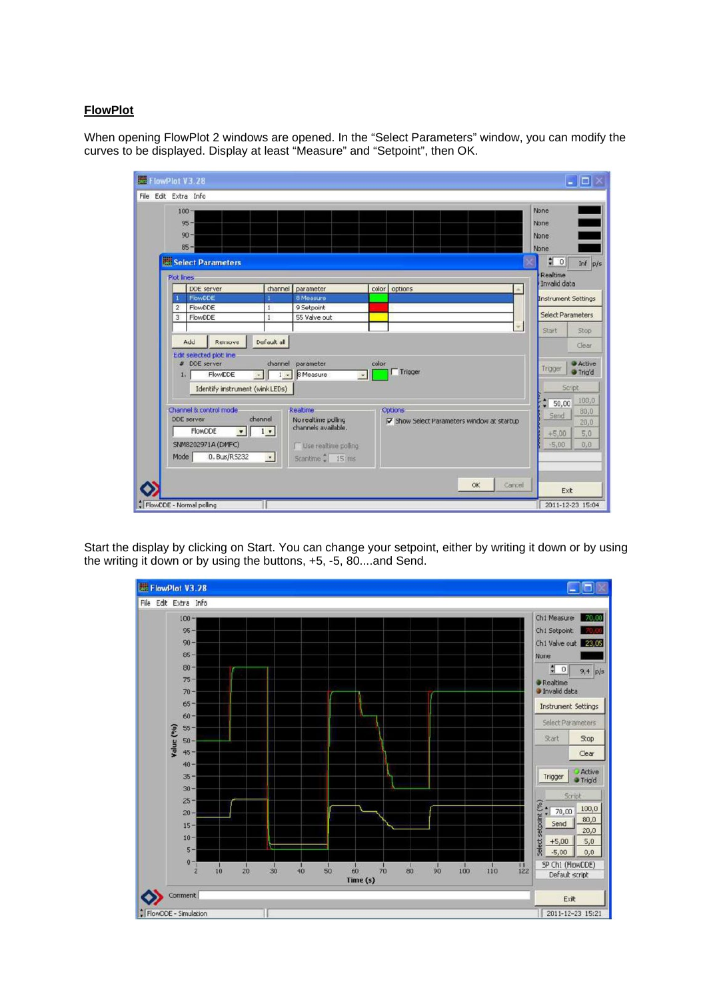### **FlowPlot**

When opening FlowPlot 2 windows are opened. In the "Select Parameters" window, you can modify the curves to be displayed. Display at least "Measure" and "Setpoint", then OK.



Start the display by clicking on Start. You can change your setpoint, either by writing it down or by using the writing it down or by using the buttons, +5, -5, 80....and Send.